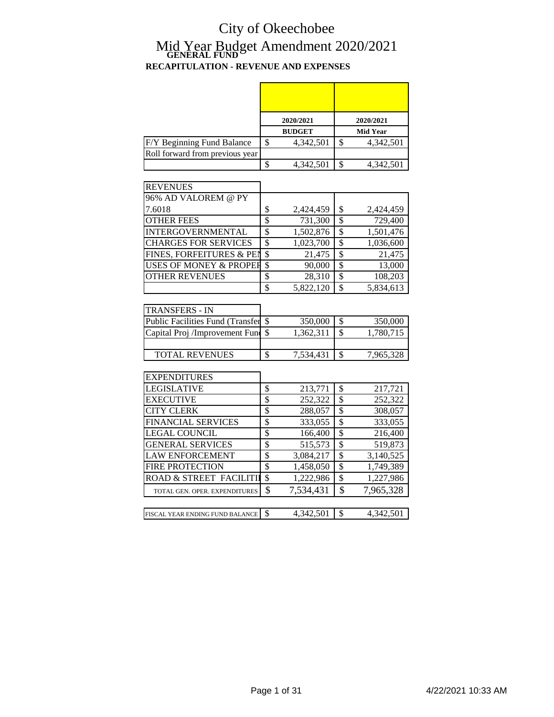### City of Okeechobee Mid Year Budget Amendment 2020/2021 **GENERAL FUND RECAPITULATION - REVENUE AND EXPENSES**

|                                 | 2020/2021       |    | 2020/2021       |
|---------------------------------|-----------------|----|-----------------|
|                                 | <b>BUDGET</b>   |    | <b>Mid Year</b> |
| F/Y Beginning Fund Balance      | \$<br>4,342,501 | \$ | 4,342,501       |
| Roll forward from previous year |                 |    |                 |
|                                 | 4,342,501       | S  | 4,342,501       |

| <b>REVENUES</b>                   |     |           |    |           |
|-----------------------------------|-----|-----------|----|-----------|
| 96% AD VALOREM @ PY               |     |           |    |           |
| 7.6018                            | \$  | 2,424,459 | S  | 2,424,459 |
| <b>OTHER FEES</b>                 | \$  | 731,300   | \$ | 729,400   |
| <b>INTERGOVERNMENTAL</b>          | S   | 1,502,876 | S  | 1,501,476 |
| <b>CHARGES FOR SERVICES</b>       | \$  | 1,023,700 | \$ | 1,036,600 |
| FINES, FORFEITURES & PEN \$       |     | 21,475    | \$ | 21,475    |
| <b>USES OF MONEY &amp; PROPER</b> | -\$ | 90,000    | S  | 13,000    |
| <b>OTHER REVENUES</b>             | \$  | 28,310    | \$ | 108,203   |
|                                   | \$  | 5,822,120 | S  | 5,834,613 |

| <b>TRANSFERS - IN</b>               |   |           |           |
|-------------------------------------|---|-----------|-----------|
| Public Facilities Fund (Transfer \$ |   | 350,000   | 350,000   |
| Capital Proj /Improvement Fund \$   |   | 1,362,311 | 1,780,715 |
|                                     |   |           |           |
| <b>TOTAL REVENUES</b>               | S | 7,534,431 | 7,965,328 |

| <b>EXPENDITURES</b>             |                 |                 |
|---------------------------------|-----------------|-----------------|
| <b>LEGISLATIVE</b>              | \$<br>213,771   | \$<br>217,721   |
| <b>EXECUTIVE</b>                | \$<br>252,322   | \$<br>252,322   |
| <b>CITY CLERK</b>               | \$<br>288,057   | \$<br>308,057   |
| FINANCIAL SERVICES              | \$<br>333,055   | \$<br>333,055   |
| <b>LEGAL COUNCIL</b>            | \$<br>166,400   | \$<br>216,400   |
| <b>GENERAL SERVICES</b>         | \$<br>515,573   | \$<br>519,873   |
| <b>LAW ENFORCEMENT</b>          | \$<br>3,084,217 | \$<br>3,140,525 |
| <b>FIRE PROTECTION</b>          | \$<br>1,458,050 | \$<br>1,749,389 |
| ROAD & STREET FACILITI          | \$<br>1,222,986 | \$<br>1,227,986 |
| TOTAL GEN. OPER. EXPENDITURES   | \$<br>7,534,431 | \$<br>7,965,328 |
|                                 |                 |                 |
| FISCAL YEAR ENDING FUND BALANCE | \$<br>4.342.501 | \$<br>4.342.501 |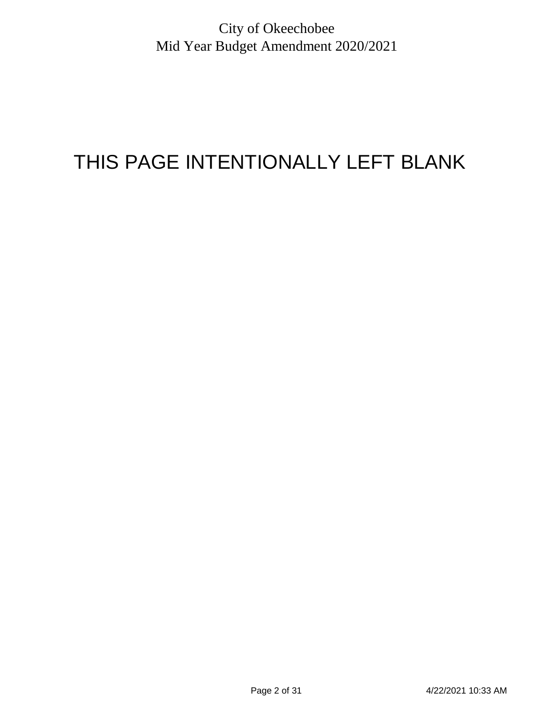# THIS PAGE INTENTIONALLY LEFT BLANK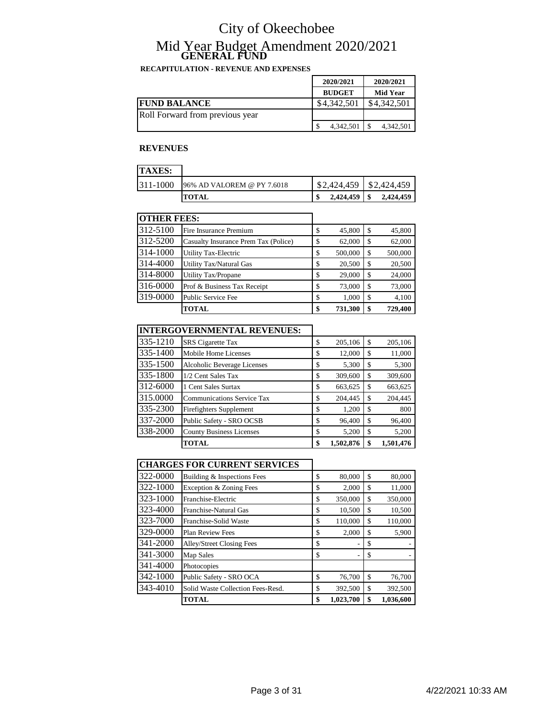### City of Okeechobee Mid Year Budget Amendment 2020/2021 **GENERAL FUND**

#### **RECAPITULATION - REVENUE AND EXPENSES**

|                                 | 2020/2021     | 2020/2021       |
|---------------------------------|---------------|-----------------|
|                                 | <b>BUDGET</b> | <b>Mid Year</b> |
| <b>FUND BALANCE</b>             | \$4,342,501   | \$4,342,501     |
| Roll Forward from previous year |               |                 |
|                                 | 4,342,501     | 4,342,501       |

#### **REVENUES**

| <b>TAXES:</b> |                            |                           |           |
|---------------|----------------------------|---------------------------|-----------|
| $1311 - 1000$ | 96% AD VALOREM @ PY 7.6018 | $$2,424,459$ $$2,424,459$ |           |
|               | <b>TOTAL</b>               | 2,424,459                 | 2,424,459 |

| <b>OTHER FEES:</b> |                                      |               |    |         |
|--------------------|--------------------------------------|---------------|----|---------|
| 312-5100           | Fire Insurance Premium               | \$<br>45,800  | \$ | 45,800  |
| 312-5200           | Casualty Insurance Prem Tax (Police) | \$<br>62,000  | S  | 62,000  |
| 314-1000           | Utility Tax-Electric                 | \$<br>500,000 | \$ | 500,000 |
| 314-4000           | Utility Tax/Natural Gas              | \$<br>20,500  | \$ | 20,500  |
| 314-8000           | Utility Tax/Propane                  | \$<br>29,000  | \$ | 24,000  |
| 316-0000           | Prof & Business Tax Receipt          | \$<br>73,000  | \$ | 73,000  |
| 319-0000           | Public Service Fee                   | \$<br>1,000   | \$ | 4,100   |
|                    | <b>TOTAL</b>                         | \$<br>731,300 | \$ | 729,400 |

### **INTERGOVERNMENTAL REVENUES:**

| 335-1210 | <b>SRS</b> Cigarette Tax          | \$<br>205,106   | -S | 205,106   |
|----------|-----------------------------------|-----------------|----|-----------|
| 335-1400 | Mobile Home Licenses              | \$<br>12,000    | \$ | 11,000    |
| 335-1500 | Alcoholic Beverage Licenses       | \$<br>5,300     | \$ | 5,300     |
| 335-1800 | 1/2 Cent Sales Tax                | \$<br>309,600   | \$ | 309,600   |
| 312-6000 | 1 Cent Sales Surtax               | \$<br>663,625   | S  | 663,625   |
| 315.0000 | <b>Communications Service Tax</b> | \$<br>204,445   | \$ | 204,445   |
| 335-2300 | <b>Firefighters Supplement</b>    | \$<br>1,200     | \$ | 800       |
| 337-2000 | Public Safety - SRO OCSB          | \$<br>96,400    | \$ | 96,400    |
| 338-2000 | <b>County Business Licenses</b>   | \$<br>5,200     | \$ | 5,200     |
|          | <b>TOTAL</b>                      | \$<br>1,502,876 | \$ | 1,501,476 |

#### **CHARGES FOR CURRENT SERVICES**

| 322-0000 |                                   | \$<br>80,000    | \$<br>80,000    |
|----------|-----------------------------------|-----------------|-----------------|
|          | Building & Inspections Fees       |                 |                 |
| 322-1000 | Exception & Zoning Fees           | \$<br>2,000     | \$<br>11,000    |
| 323-1000 | Franchise-Electric                | \$<br>350,000   | \$<br>350,000   |
| 323-4000 | Franchise-Natural Gas             | \$<br>10.500    | \$<br>10,500    |
| 323-7000 | Franchise-Solid Waste             | \$<br>110,000   | \$<br>110,000   |
| 329-0000 | <b>Plan Review Fees</b>           | \$<br>2,000     | \$<br>5,900     |
| 341-2000 | Alley/Street Closing Fees         | \$<br>٠         | \$              |
| 341-3000 | Map Sales                         | \$<br>٠         | \$              |
| 341-4000 | Photocopies                       |                 |                 |
| 342-1000 | Public Safety - SRO OCA           | \$<br>76,700    | \$<br>76,700    |
| 343-4010 | Solid Waste Collection Fees-Resd. | \$<br>392,500   | \$<br>392,500   |
|          | <b>TOTAL</b>                      | \$<br>1.023.700 | \$<br>1.036.600 |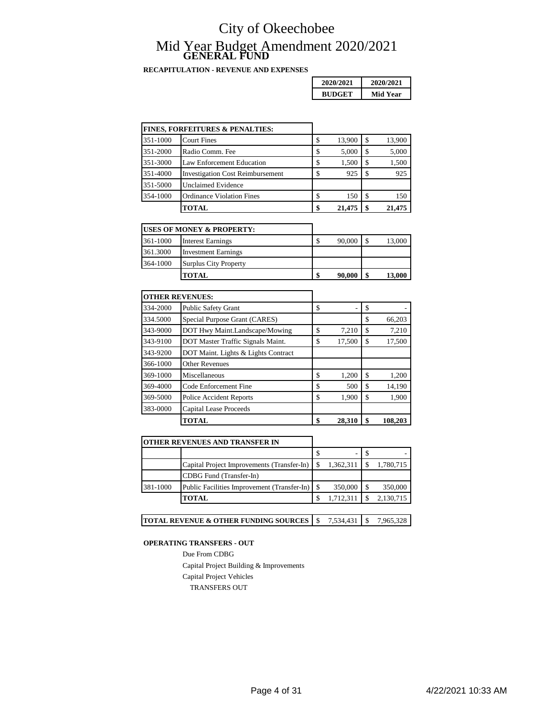### City of Okeechobee Mid Year Budget Amendment 2020/2021 **GENERAL FUND**

**RECAPITULATION - REVENUE AND EXPENSES**

| 2020/2021 | 2020/2021 |
|-----------|-----------|
| BUDGET    | Viid Year |

|          | <b>FINES, FORFEITURES &amp; PENALTIES:</b> |              |    |        |
|----------|--------------------------------------------|--------------|----|--------|
| 351-1000 | <b>Court Fines</b>                         | \$<br>13,900 | \$ | 13,900 |
| 351-2000 | Radio Comm. Fee                            | \$<br>5,000  | S  | 5,000  |
| 351-3000 | Law Enforcement Education                  | \$<br>1,500  | S  | 1,500  |
| 351-4000 | <b>Investigation Cost Reimbursement</b>    | \$<br>925    | S  | 925    |
| 351-5000 | <b>Unclaimed Evidence</b>                  |              |    |        |
| 354-1000 | <b>Ordinance Violation Fines</b>           | \$<br>150    | S  | 150    |
|          | TOTAL                                      | \$<br>21,475 |    | 21,475 |

|          | <b>IUSES OF MONEY &amp; PROPERTY:</b> |        |              |
|----------|---------------------------------------|--------|--------------|
| 361-1000 | Interest Earnings                     | 90,000 | 13,000       |
| 361.3000 | <b>Investment Earnings</b>            |        |              |
| 364-1000 | <b>Surplus City Property</b>          |        |              |
|          | TOTAL                                 | 90.000 | \$<br>13,000 |

|          | <b>OTHER REVENUES:</b>              |              |               |
|----------|-------------------------------------|--------------|---------------|
| 334-2000 | <b>Public Safety Grant</b>          | \$           | \$            |
| 334.5000 | Special Purpose Grant (CARES)       |              | \$<br>66,203  |
| 343-9000 | DOT Hwy Maint.Landscape/Mowing      | \$<br>7,210  | \$<br>7,210   |
| 343-9100 | DOT Master Traffic Signals Maint.   | \$<br>17,500 | \$<br>17,500  |
| 343-9200 | DOT Maint. Lights & Lights Contract |              |               |
| 366-1000 | <b>Other Revenues</b>               |              |               |
| 369-1000 | Miscellaneous                       | \$<br>1,200  | \$<br>1,200   |
| 369-4000 | Code Enforcement Fine               | \$<br>500    | \$<br>14,190  |
| 369-5000 | <b>Police Accident Reports</b>      | \$<br>1,900  | \$<br>1,900   |
| 383-0000 | Capital Lease Proceeds              |              |               |
|          | <b>TOTAL</b>                        | 28.310       | \$<br>108.203 |

|          | OTHER REVENUES AND TRANSFER IN                   |           |           |
|----------|--------------------------------------------------|-----------|-----------|
|          |                                                  |           |           |
|          | Capital Project Improvements (Transfer-In)       | 1,362,311 | 1,780,715 |
|          | CDBG Fund (Transfer-In)                          |           |           |
| 381-1000 | Public Facilities Improvement (Transfer-In)   \$ | 350,000   | 350,000   |
|          | <b>TOTAL</b>                                     | 1,712,311 | 2,130,715 |

| <b>TOTAL REVENUE &amp; OTHER FUNDING SOURCES</b> $\begin{bmatrix} 8 & 7.534.431 \end{bmatrix}$ \\ \$ 7.965.328 |  |  |  |  |
|----------------------------------------------------------------------------------------------------------------|--|--|--|--|
|----------------------------------------------------------------------------------------------------------------|--|--|--|--|

#### **OPERATING TRANSFERS - OUT**

Due From CDBG Capital Project Building & Improvements Capital Project Vehicles TRANSFERS OUT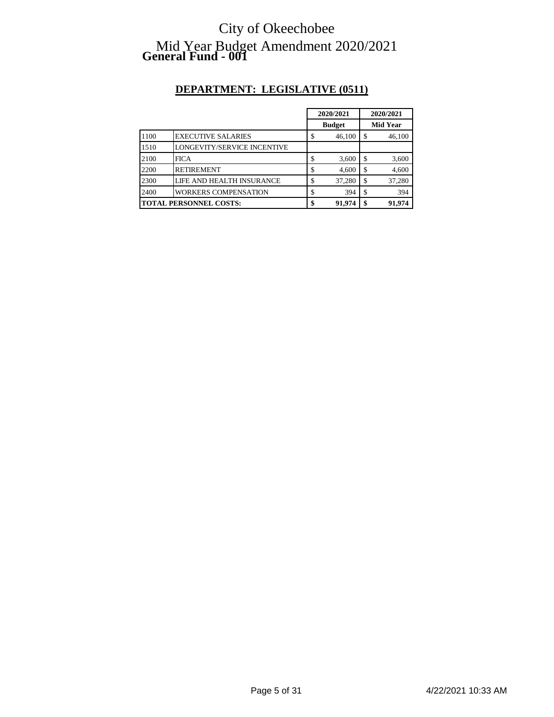#### **DEPARTMENT: LEGISLATIVE (0511)**

|      |                               |   | 2020/2021     |    | 2020/2021       |
|------|-------------------------------|---|---------------|----|-----------------|
|      |                               |   | <b>Budget</b> |    | <b>Mid Year</b> |
| 1100 | <b>EXECUTIVE SALARIES</b>     |   | 46,100        | \$ | 46,100          |
| 1510 | LONGEVITY/SERVICE INCENTIVE   |   |               |    |                 |
| 2100 | <b>FICA</b>                   |   | 3,600         | S. | 3,600           |
| 2200 | <b>RETIREMENT</b>             |   | 4,600         | S  | 4,600           |
| 2300 | LIFE AND HEALTH INSURANCE     | S | 37.280        | \$ | 37,280          |
| 2400 | <b>WORKERS COMPENSATION</b>   |   | 394           | \$ | 394             |
|      | <b>TOTAL PERSONNEL COSTS:</b> | Ф | 91.974        | \$ | 91.974          |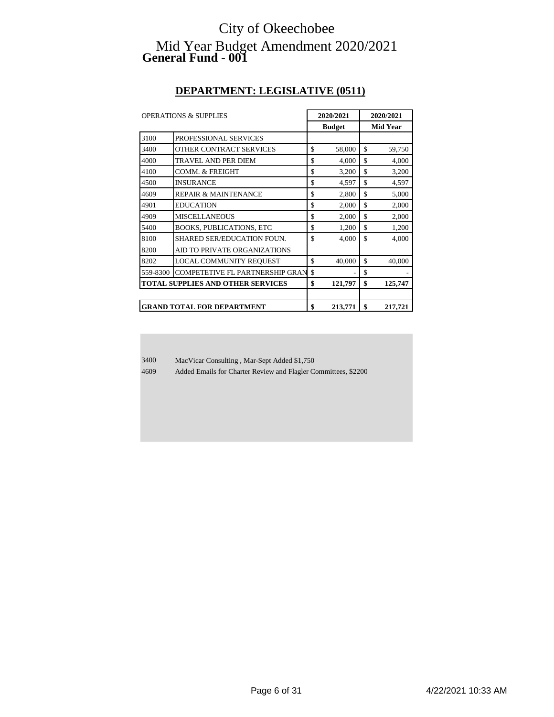#### **DEPARTMENT: LEGISLATIVE (0511)**

|          | <b>OPERATIONS &amp; SUPPLIES</b>         | 2020/2021 |               | 2020/2021 |                 |
|----------|------------------------------------------|-----------|---------------|-----------|-----------------|
|          |                                          |           | <b>Budget</b> |           | <b>Mid Year</b> |
| 3100     | PROFESSIONAL SERVICES                    |           |               |           |                 |
| 3400     | OTHER CONTRACT SERVICES                  | \$        | 58,000        | \$        | 59,750          |
| 4000     | TRAVEL AND PER DIEM                      | \$        | 4,000         | \$        | 4,000           |
| 4100     | COMM. & FREIGHT                          | \$        | 3,200         | \$        | 3,200           |
| 4500     | <b>INSURANCE</b>                         | \$        | 4,597         | \$        | 4,597           |
| 4609     | <b>REPAIR &amp; MAINTENANCE</b>          | \$        | 2,800         | \$        | 5,000           |
| 4901     | <b>EDUCATION</b>                         | \$        | 2,000         | \$        | 2,000           |
| 4909     | <b>MISCELLANEOUS</b>                     | \$        | 2,000         | \$        | 2,000           |
| 5400     | BOOKS, PUBLICATIONS, ETC                 | \$        | 1,200         | \$        | 1,200           |
| 8100     | <b>SHARED SER/EDUCATION FOUN.</b>        | \$        | 4,000         | \$        | 4.000           |
| 8200     | AID TO PRIVATE ORGANIZATIONS             |           |               |           |                 |
| 8202     | LOCAL COMMUNITY REQUEST                  | \$        | 40,000        | \$        | 40,000          |
| 559-8300 | <b>COMPETETIVE FL PARTNERSHIP GRAN</b>   | \$        |               | \$        |                 |
|          | <b>TOTAL SUPPLIES AND OTHER SERVICES</b> | \$        | 121,797       | \$        | 125,747         |
|          |                                          |           |               |           |                 |
|          | <b>GRAND TOTAL FOR DEPARTMENT</b>        | \$        | 213,771       | \$        | 217,721         |

3400 MacVicar Consulting , Mar-Sept Added \$1,750

4609 Added Emails for Charter Review and Flagler Committees, \$2200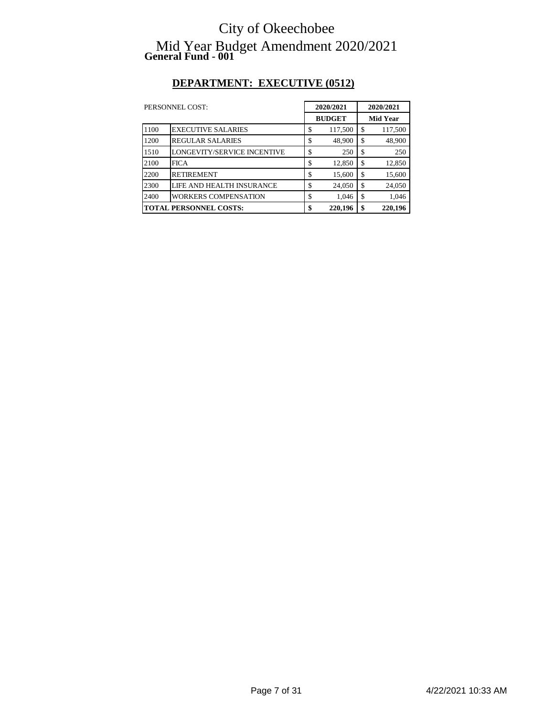### **DEPARTMENT: EXECUTIVE (0512)**

|      | PERSONNEL COST:               | 2020/2021     |     | 2020/2021       |
|------|-------------------------------|---------------|-----|-----------------|
|      |                               | <b>BUDGET</b> |     | <b>Mid Year</b> |
| 1100 | <b>EXECUTIVE SALARIES</b>     | \$<br>117,500 | \$. | 117,500         |
| 1200 | <b>REGULAR SALARIES</b>       | \$<br>48,900  | \$  | 48,900          |
| 1510 | LONGEVITY/SERVICE INCENTIVE   | \$<br>250     | S   | 250             |
| 2100 | <b>FICA</b>                   | \$<br>12,850  | \$  | 12,850          |
| 2200 | <b>RETIREMENT</b>             | \$<br>15,600  | \$  | 15,600          |
| 2300 | LIFE AND HEALTH INSURANCE     | \$<br>24,050  | \$  | 24,050          |
| 2400 | <b>WORKERS COMPENSATION</b>   | \$<br>1,046   | \$  | 1,046           |
|      | <b>TOTAL PERSONNEL COSTS:</b> | \$<br>220,196 | \$  | 220,196         |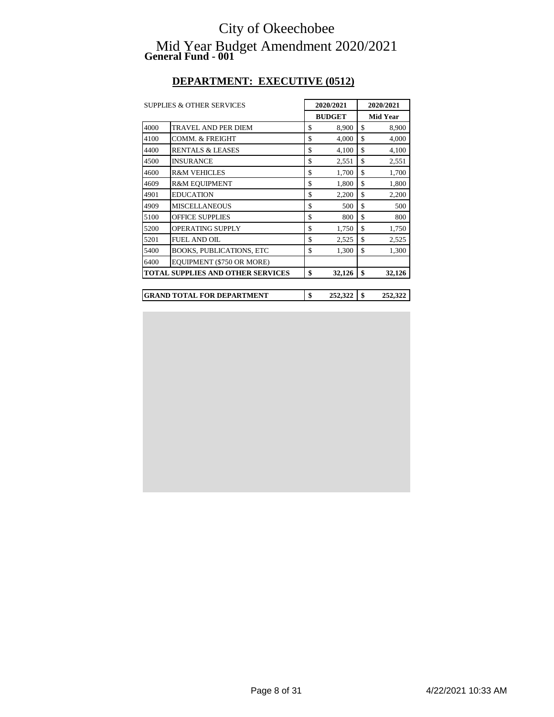|      | <b>SUPPLIES &amp; OTHER SERVICES</b>     | 2020/2021     | 2020/2021       |
|------|------------------------------------------|---------------|-----------------|
|      |                                          | <b>BUDGET</b> | <b>Mid Year</b> |
| 4000 | TRAVEL AND PER DIEM                      | \$<br>8,900   | \$<br>8,900     |
| 4100 | COMM. & FREIGHT                          | \$<br>4,000   | \$<br>4,000     |
| 4400 | <b>RENTALS &amp; LEASES</b>              | \$<br>4,100   | \$<br>4,100     |
| 4500 | <b>INSURANCE</b>                         | \$<br>2,551   | \$<br>2,551     |
| 4600 | <b>R&amp;M VEHICLES</b>                  | \$<br>1,700   | \$<br>1,700     |
| 4609 | <b>R&amp;M EOUIPMENT</b>                 | \$<br>1,800   | \$<br>1,800     |
| 4901 | <b>EDUCATION</b>                         | \$<br>2,200   | \$<br>2,200     |
| 4909 | <b>MISCELLANEOUS</b>                     | \$<br>500     | \$<br>500       |
| 5100 | <b>OFFICE SUPPLIES</b>                   | \$<br>800     | \$<br>800       |
| 5200 | <b>OPERATING SUPPLY</b>                  | \$<br>1,750   | \$<br>1,750     |
| 5201 | <b>FUEL AND OIL</b>                      | \$<br>2,525   | \$<br>2,525     |
| 5400 | <b>BOOKS, PUBLICATIONS, ETC</b>          | \$<br>1,300   | \$<br>1,300     |
| 6400 | EOUIPMENT (\$750 OR MORE)                |               |                 |
|      | <b>TOTAL SUPPLIES AND OTHER SERVICES</b> | \$<br>32,126  | \$<br>32,126    |

### **DEPARTMENT: EXECUTIVE (0512)**

| <b>GRAND TOTAL FOR DEPARTMENT</b> | $252.322 \text{ }$ S | 252,322 |
|-----------------------------------|----------------------|---------|
|                                   |                      |         |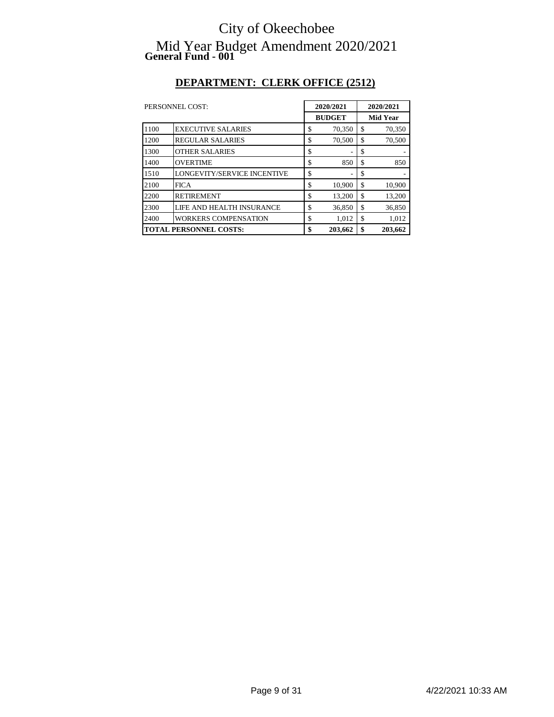### **DEPARTMENT: CLERK OFFICE (2512)**

|      | PERSONNEL COST:               |    | 2020/2021     |    | 2020/2021 |  |                 |  |
|------|-------------------------------|----|---------------|----|-----------|--|-----------------|--|
|      |                               |    | <b>BUDGET</b> |    |           |  | <b>Mid Year</b> |  |
| 1100 | <b>EXECUTIVE SALARIES</b>     | \$ | 70,350        | \$ | 70,350    |  |                 |  |
| 1200 | <b>REGULAR SALARIES</b>       | \$ | 70,500        | \$ | 70,500    |  |                 |  |
| 1300 | <b>OTHER SALARIES</b>         | \$ |               | \$ |           |  |                 |  |
| 1400 | <b>OVERTIME</b>               | \$ | 850           | \$ | 850       |  |                 |  |
| 1510 | LONGEVITY/SERVICE INCENTIVE   | \$ |               | \$ |           |  |                 |  |
| 2100 | <b>FICA</b>                   | \$ | 10,900        | \$ | 10,900    |  |                 |  |
| 2200 | <b>RETIREMENT</b>             | \$ | 13,200        | \$ | 13,200    |  |                 |  |
| 2300 | LIFE AND HEALTH INSURANCE     | \$ | 36,850        | \$ | 36,850    |  |                 |  |
| 2400 | <b>WORKERS COMPENSATION</b>   | \$ | 1,012         | \$ | 1,012     |  |                 |  |
|      | <b>TOTAL PERSONNEL COSTS:</b> | \$ | 203,662       | \$ | 203,662   |  |                 |  |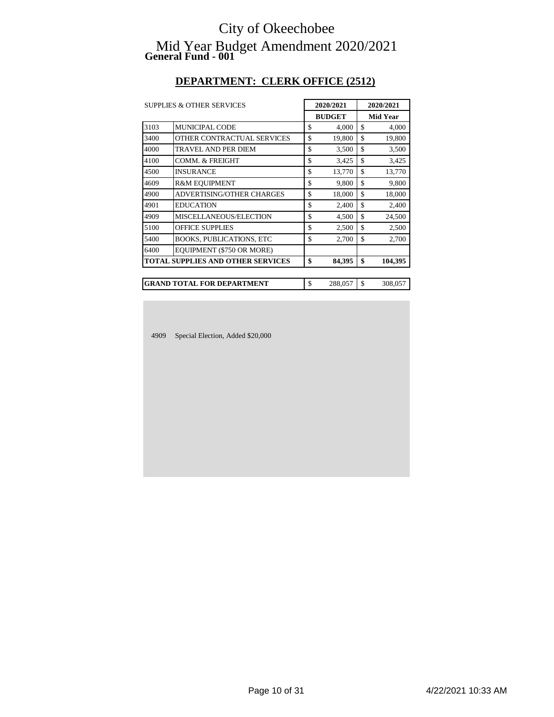|      | <b>SUPPLIES &amp; OTHER SERVICES</b>     | 2020/2021     | 2020/2021       |
|------|------------------------------------------|---------------|-----------------|
|      |                                          | <b>BUDGET</b> | <b>Mid Year</b> |
| 3103 | <b>MUNICIPAL CODE</b>                    | \$<br>4.000   | \$<br>4,000     |
| 3400 | OTHER CONTRACTUAL SERVICES               | \$<br>19,800  | \$<br>19,800    |
| 4000 | TRAVEL AND PER DIEM                      | \$<br>3,500   | \$<br>3,500     |
| 4100 | COMM. & FREIGHT                          | \$<br>3,425   | \$<br>3,425     |
| 4500 | <b>INSURANCE</b>                         | \$<br>13,770  | \$<br>13,770    |
| 4609 | R&M EQUIPMENT                            | \$<br>9,800   | \$<br>9,800     |
| 4900 | ADVERTISING/OTHER CHARGES                | \$<br>18,000  | \$<br>18,000    |
| 4901 | <b>EDUCATION</b>                         | \$<br>2,400   | \$<br>2,400     |
| 4909 | MISCELLANEOUS/ELECTION                   | \$<br>4,500   | \$<br>24,500    |
| 5100 | <b>OFFICE SUPPLIES</b>                   | \$<br>2,500   | \$<br>2,500     |
| 5400 | BOOKS, PUBLICATIONS, ETC                 | \$<br>2,700   | \$<br>2,700     |
| 6400 | EOUIPMENT (\$750 OR MORE)                |               |                 |
|      | <b>TOTAL SUPPLIES AND OTHER SERVICES</b> | \$<br>84,395  | \$<br>104,395   |
|      |                                          |               |                 |
|      | <b>GRAND TOTAL FOR DEPARTMENT</b>        | \$<br>288,057 | \$<br>308,057   |

#### **DEPARTMENT: CLERK OFFICE (2512)**

4909 Special Election, Added \$20,000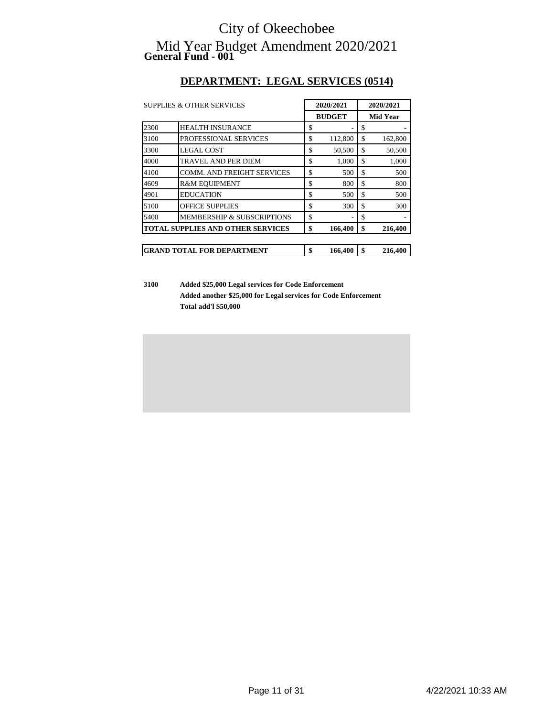#### **DEPARTMENT: LEGAL SERVICES (0514)**

|      | <b>SUPPLIES &amp; OTHER SERVICES</b>     | 2020/2021 |               | 2020/2021 |                 |
|------|------------------------------------------|-----------|---------------|-----------|-----------------|
|      |                                          |           | <b>BUDGET</b> |           | <b>Mid Year</b> |
| 2300 | <b>HEALTH INSURANCE</b>                  | \$        |               | \$        |                 |
| 3100 | PROFESSIONAL SERVICES                    | \$        | 112,800       | \$        | 162,800         |
| 3300 | <b>LEGAL COST</b>                        | \$        | 50,500        | \$        | 50,500          |
| 4000 | <b>TRAVEL AND PER DIEM</b>               | \$        | 1.000         | \$        | 1,000           |
| 4100 | COMM. AND FREIGHT SERVICES               | \$        | 500           | \$        | 500             |
| 4609 | <b>R&amp;M EOUIPMENT</b>                 | \$        | 800           | \$        | 800             |
| 4901 | <b>EDUCATION</b>                         | \$        | 500           | \$        | 500             |
| 5100 | <b>OFFICE SUPPLIES</b>                   | \$        | 300           | \$        | 300             |
| 5400 | MEMBERSHIP & SUBSCRIPTIONS               | \$        | ٠             | \$        |                 |
|      | <b>TOTAL SUPPLIES AND OTHER SERVICES</b> | \$        | 166,400       | \$        | 216,400         |
|      |                                          |           |               |           |                 |
|      | <b>GRAND TOTAL FOR DEPARTMENT</b>        | \$        | 166,400       | \$        | 216,400         |

**3100 Added \$25,000 Legal services for Code Enforcement Added another \$25,000 for Legal services for Code Enforcement Total add'l \$50,000**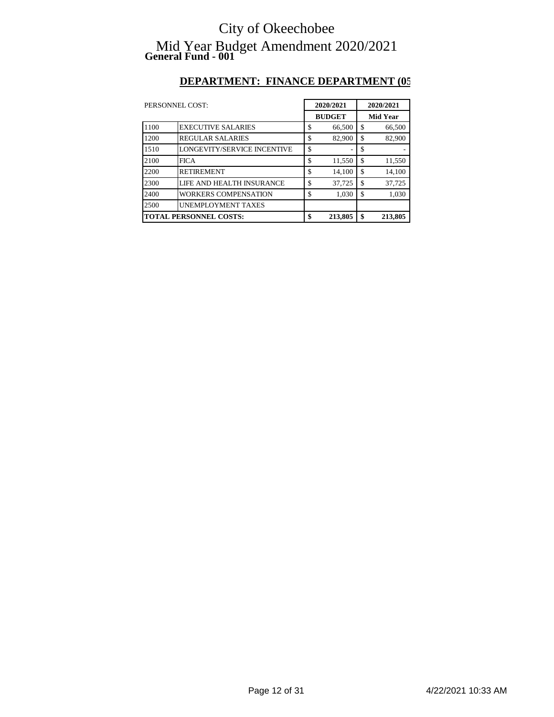#### **DEPARTMENT: FINANCE DEPARTMENT (05**

|      | PERSONNEL COST:               | 2020/2021     |    | 2020/2021       |
|------|-------------------------------|---------------|----|-----------------|
|      |                               | <b>BUDGET</b> |    | <b>Mid Year</b> |
| 1100 | <b>EXECUTIVE SALARIES</b>     | \$<br>66,500  | \$ | 66,500          |
| 1200 | <b>REGULAR SALARIES</b>       | \$<br>82,900  | \$ | 82,900          |
| 1510 | LONGEVITY/SERVICE INCENTIVE   | \$            | \$ |                 |
| 2100 | <b>FICA</b>                   | \$<br>11,550  | \$ | 11,550          |
| 2200 | <b>RETIREMENT</b>             | \$<br>14,100  | \$ | 14,100          |
| 2300 | LIFE AND HEALTH INSURANCE     | \$<br>37,725  | \$ | 37.725          |
| 2400 | <b>WORKERS COMPENSATION</b>   | \$<br>1,030   | \$ | 1.030           |
| 2500 | UNEMPLOYMENT TAXES            |               |    |                 |
|      | <b>TOTAL PERSONNEL COSTS:</b> | \$<br>213,805 | \$ | 213,805         |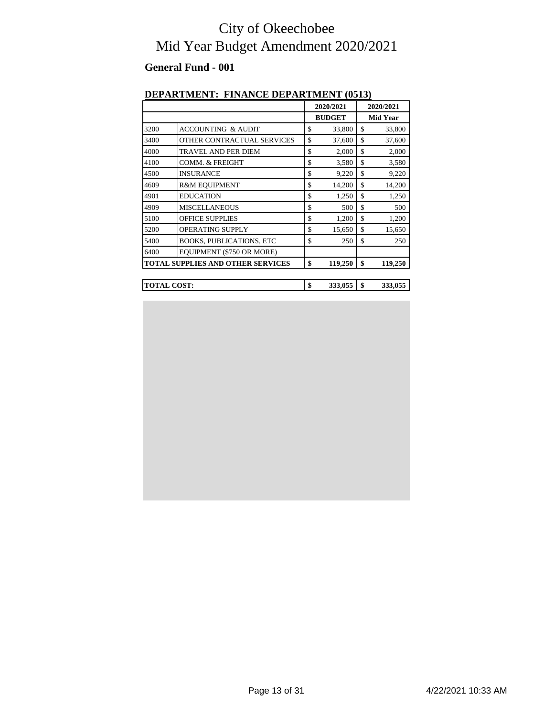#### **General Fund - 001**

|      |                                          |               | 2020/2021 | 2020/2021       |
|------|------------------------------------------|---------------|-----------|-----------------|
|      |                                          | <b>BUDGET</b> |           | <b>Mid Year</b> |
| 3200 | <b>ACCOUNTING &amp; AUDIT</b>            | \$            | 33,800    | \$<br>33,800    |
| 3400 | OTHER CONTRACTUAL SERVICES               | \$            | 37,600    | \$<br>37,600    |
| 4000 | TRAVEL AND PER DIEM                      | \$            | 2,000     | \$<br>2,000     |
| 4100 | <b>COMM. &amp; FREIGHT</b>               | \$            | 3,580     | \$<br>3,580     |
| 4500 | <b>INSURANCE</b>                         | \$            | 9,220     | \$<br>9,220     |
| 4609 | <b>R&amp;M EOUIPMENT</b>                 | \$            | 14,200    | \$<br>14,200    |
| 4901 | <b>EDUCATION</b>                         | \$            | 1,250     | \$<br>1,250     |
| 4909 | <b>MISCELLANEOUS</b>                     | \$            | 500       | \$<br>500       |
| 5100 | <b>OFFICE SUPPLIES</b>                   | \$            | 1,200     | \$<br>1,200     |
| 5200 | <b>OPERATING SUPPLY</b>                  | \$            | 15,650    | \$<br>15,650    |
| 5400 | <b>BOOKS, PUBLICATIONS, ETC</b>          | \$            | 250       | \$<br>250       |
| 6400 | EQUIPMENT (\$750 OR MORE)                |               |           |                 |
|      | <b>TOTAL SUPPLIES AND OTHER SERVICES</b> | \$            | 119,250   | \$<br>119,250   |
|      |                                          |               |           |                 |
|      | <b>TOTAL COST:</b>                       | \$            | 333,055   | \$<br>333,055   |

#### **DEPARTMENT: FINANCE DEPARTMENT (0513)**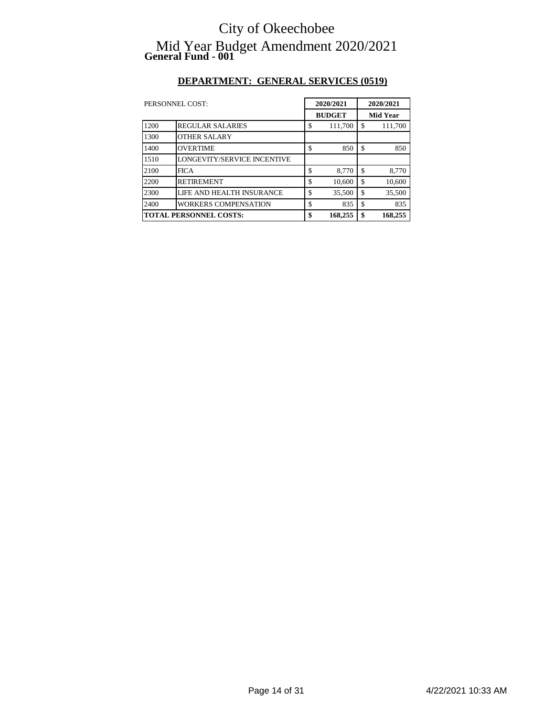#### **DEPARTMENT: GENERAL SERVICES (0519)**

|      | PERSONNEL COST:               | 2020/2021<br><b>BUDGET</b> |         | 2020/2021 |                 |
|------|-------------------------------|----------------------------|---------|-----------|-----------------|
|      |                               |                            |         |           | <b>Mid Year</b> |
| 1200 | <b>REGULAR SALARIES</b>       | \$                         | 111,700 | \$        | 111,700         |
| 1300 | <b>OTHER SALARY</b>           |                            |         |           |                 |
| 1400 | <b>OVERTIME</b>               | \$                         | 850     | \$        | 850             |
| 1510 | LONGEVITY/SERVICE INCENTIVE   |                            |         |           |                 |
| 2100 | <b>FICA</b>                   | \$                         | 8,770   | \$        | 8,770           |
| 2200 | <b>RETIREMENT</b>             | \$                         | 10,600  | \$        | 10,600          |
| 2300 | LIFE AND HEALTH INSURANCE     | \$                         | 35,500  | \$        | 35,500          |
| 2400 | <b>WORKERS COMPENSATION</b>   | \$                         | 835     | \$        | 835             |
|      | <b>TOTAL PERSONNEL COSTS:</b> | \$                         | 168,255 | \$        | 168,255         |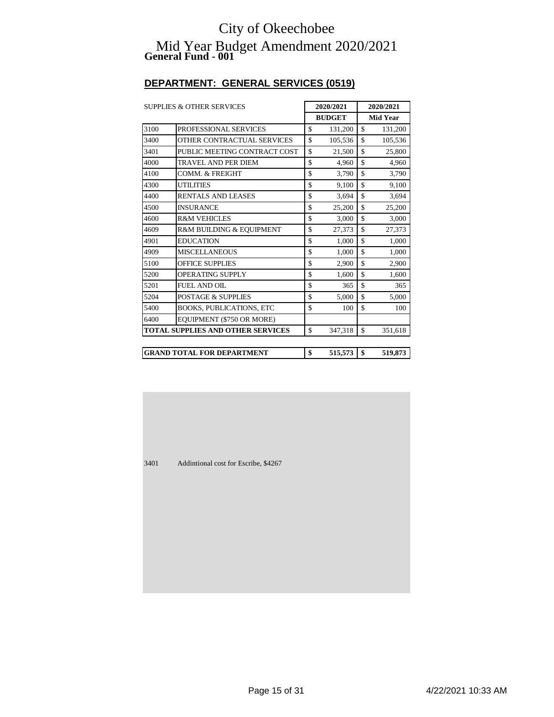#### **DEPARTMENT: GENERAL SERVICES (0519)**

| <b>SUPPLIES &amp; OTHER SERVICES</b> |                                          |               | 2020/2021 | 2020/2021 |                 |  |
|--------------------------------------|------------------------------------------|---------------|-----------|-----------|-----------------|--|
|                                      |                                          | <b>BUDGET</b> |           |           | <b>Mid Year</b> |  |
| 3100                                 | PROFESSIONAL SERVICES                    | \$            | 131,200   | \$        | 131,200         |  |
| 3400                                 | OTHER CONTRACTUAL SERVICES               | \$            | 105,536   | \$        | 105,536         |  |
| 3401                                 | PUBLIC MEETING CONTRACT COST             | \$            | 21,500    | \$        | 25,800          |  |
| 4000                                 | TRAVEL AND PER DIEM                      | \$            | 4,960     | \$        | 4,960           |  |
| 4100                                 | COMM. & FREIGHT                          | \$            | 3,790     | \$        | 3,790           |  |
| 4300                                 | <b>UTILITIES</b>                         | \$            | 9,100     | \$        | 9,100           |  |
| 4400                                 | RENTALS AND LEASES                       | \$            | 3,694     | \$        | 3,694           |  |
| 4500                                 | <b>INSURANCE</b>                         | \$            | 25,200    | \$        | 25,200          |  |
| 4600                                 | <b>R&amp;M VEHICLES</b>                  | \$            | 3,000     | \$        | 3,000           |  |
| 4609                                 | R&M BUILDING & EQUIPMENT                 | \$            | 27,373    | \$        | 27,373          |  |
| 4901                                 | <b>EDUCATION</b>                         | \$            | 1,000     | \$        | 1,000           |  |
| 4909                                 | <b>MISCELLANEOUS</b>                     | \$            | 1,000     | \$        | 1,000           |  |
| 5100                                 | <b>OFFICE SUPPLIES</b>                   | \$            | 2,900     | \$        | 2,900           |  |
| 5200                                 | <b>OPERATING SUPPLY</b>                  | \$            | 1,600     | \$        | 1,600           |  |
| 5201                                 | FUEL AND OIL                             | \$            | 365       | \$        | 365             |  |
| 5204                                 | <b>POSTAGE &amp; SUPPLIES</b>            | \$            | 5,000     | \$        | 5,000           |  |
| 5400                                 | <b>BOOKS, PUBLICATIONS, ETC</b>          | \$            | 100       | \$        | 100             |  |
| 6400                                 | EQUIPMENT (\$750 OR MORE)                |               |           |           |                 |  |
|                                      | <b>TOTAL SUPPLIES AND OTHER SERVICES</b> |               | 347,318   | \$        | 351,618         |  |
|                                      | \$                                       |               |           |           |                 |  |
|                                      | <b>GRAND TOTAL FOR DEPARTMENT</b>        | \$            | 515,573   |           | 519,873         |  |

Addintional cost for Escribe, \$4267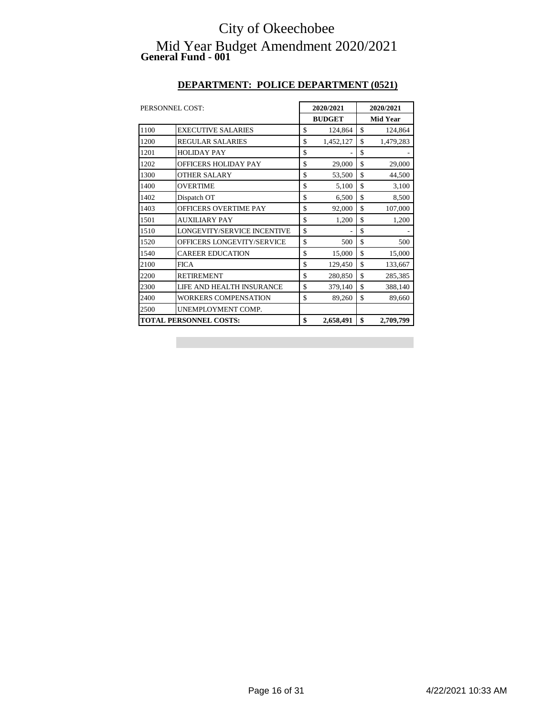#### **DEPARTMENT: POLICE DEPARTMENT (0521)**

| PERSONNEL COST: |                               |               | 2020/2021 | 2020/2021 |                 |  |  |
|-----------------|-------------------------------|---------------|-----------|-----------|-----------------|--|--|
|                 |                               | <b>BUDGET</b> |           |           | <b>Mid Year</b> |  |  |
| 1100            | <b>EXECUTIVE SALARIES</b>     | \$            | 124,864   | \$        | 124,864         |  |  |
| 1200            | <b>REGULAR SALARIES</b>       | \$            | 1,452,127 | \$        | 1,479,283       |  |  |
| 1201            | <b>HOLIDAY PAY</b>            | \$            |           | \$        |                 |  |  |
| 1202            | OFFICERS HOLIDAY PAY          | \$            | 29,000    | \$        | 29,000          |  |  |
| 1300            | <b>OTHER SALARY</b>           | \$            | 53,500    | \$        | 44,500          |  |  |
| 1400            | <b>OVERTIME</b>               | \$            | 5,100     | \$        | 3,100           |  |  |
| 1402            | Dispatch OT                   | \$            | 6,500     | \$        | 8,500           |  |  |
| 1403            | OFFICERS OVERTIME PAY         | \$            | 92,000    | \$        | 107,000         |  |  |
| 1501            | <b>AUXILIARY PAY</b>          | \$            | 1,200     | \$        | 1,200           |  |  |
| 1510            | LONGEVITY/SERVICE INCENTIVE   | \$            |           | \$        |                 |  |  |
| 1520            | OFFICERS LONGEVITY/SERVICE    | \$            | 500       | \$        | 500             |  |  |
| 1540            | <b>CAREER EDUCATION</b>       | \$            | 15,000    | \$        | 15,000          |  |  |
| 2100            | <b>FICA</b>                   | \$            | 129,450   | \$        | 133,667         |  |  |
| 2200            | <b>RETIREMENT</b>             | \$            | 280,850   | \$        | 285,385         |  |  |
| 2300            | LIFE AND HEALTH INSURANCE     | \$            | 379,140   | \$        | 388,140         |  |  |
| 2400            | <b>WORKERS COMPENSATION</b>   | \$            | 89,260    | \$        | 89,660          |  |  |
| 2500            | UNEMPLOYMENT COMP.            |               |           |           |                 |  |  |
|                 | <b>TOTAL PERSONNEL COSTS:</b> | \$            | 2,658,491 | \$        | 2,709,799       |  |  |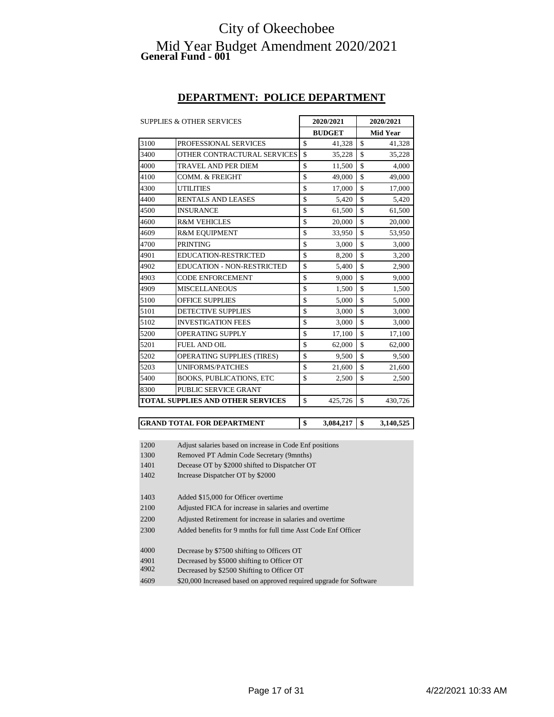#### **DEPARTMENT: POLICE DEPARTMENT**

| <b>SUPPLIES &amp; OTHER SERVICES</b> |                                   | 2020/2021          |         |                    | 2020/2021       |  |  |
|--------------------------------------|-----------------------------------|--------------------|---------|--------------------|-----------------|--|--|
|                                      |                                   | <b>BUDGET</b>      |         |                    | <b>Mid Year</b> |  |  |
| 3100                                 | PROFESSIONAL SERVICES             | \$                 | 41,328  | \$                 | 41,328          |  |  |
| 3400                                 | OTHER CONTRACTURAL SERVICES       | \$                 | 35,228  | \$                 | 35,228          |  |  |
| 4000                                 | TRAVEL AND PER DIEM               | \$                 | 11,500  | \$                 | 4,000           |  |  |
| 4100                                 | <b>COMM. &amp; FREIGHT</b>        | \$                 | 49,000  | \$                 | 49,000          |  |  |
| 4300                                 | <b>UTILITIES</b>                  | \$                 | 17,000  | \$                 | 17,000          |  |  |
| 4400                                 | RENTALS AND LEASES                | \$                 | 5,420   | \$                 | 5,420           |  |  |
| 4500                                 | <b>INSURANCE</b>                  | \$                 | 61,500  | \$                 | 61,500          |  |  |
| 4600                                 | <b>R&amp;M VEHICLES</b>           | \$                 | 20,000  | \$                 | 20,000          |  |  |
| 4609                                 | <b>R&amp;M EOUIPMENT</b>          | \$                 | 33,950  | \$                 | 53,950          |  |  |
| 4700                                 | <b>PRINTING</b>                   | \$                 | 3,000   | $\mathbf{\hat{S}}$ | 3,000           |  |  |
| 4901                                 | <b>EDUCATION-RESTRICTED</b>       | \$                 | 8,200   | \$                 | 3,200           |  |  |
| 4902                                 | <b>EDUCATION - NON-RESTRICTED</b> | \$                 | 5,400   | \$                 | 2,900           |  |  |
| 4903                                 | <b>CODE ENFORCEMENT</b>           | \$                 | 9,000   | \$                 | 9.000           |  |  |
| 4909                                 | <b>MISCELLANEOUS</b>              | \$                 | 1,500   | \$                 | 1,500           |  |  |
| 5100                                 | <b>OFFICE SUPPLIES</b>            | \$                 | 5,000   | $\mathbf{\hat{S}}$ | 5,000           |  |  |
| 5101                                 | <b>DETECTIVE SUPPLIES</b>         | \$                 | 3,000   | \$                 | 3,000           |  |  |
| 5102                                 | <b>INVESTIGATION FEES</b>         | \$                 | 3,000   | \$                 | 3,000           |  |  |
| 5200                                 | OPERATING SUPPLY                  | \$                 | 17,100  | \$                 | 17,100          |  |  |
| 5201                                 | <b>FUEL AND OIL</b>               | \$                 | 62,000  | \$                 | 62,000          |  |  |
| 5202                                 | <b>OPERATING SUPPLIES (TIRES)</b> | \$                 | 9,500   | \$                 | 9,500           |  |  |
| 5203                                 | <b>UNIFORMS/PATCHES</b>           | \$                 | 21,600  | \$                 | 21,600          |  |  |
| 5400                                 | <b>BOOKS, PUBLICATIONS, ETC</b>   | $\mathbf{\hat{S}}$ | 2,500   | \$                 | 2,500           |  |  |
| 8300                                 | PUBLIC SERVICE GRANT              |                    |         |                    |                 |  |  |
|                                      | TOTAL SUPPLIES AND OTHER SERVICES | \$                 | 425,726 | \$                 | 430,726         |  |  |

#### **\$ 3,084,217 \$ 3,140,525 GRAND TOTAL FOR DEPARTMENT**

- Adjust salaries based on increase in Code Enf positions
- Removed PT Admin Code Secretary (9mnths)
- Decease OT by \$2000 shifted to Dispatcher OT
- Increase Dispatcher OT by \$2000
- Added \$15,000 for Officer overtime
- Adjusted FICA for increase in salaries and overtime
- Adjusted Retirement for increase in salaries and overtime
- Added benefits for 9 mnths for full time Asst Code Enf Officer
- Decrease by \$7500 shifting to Officers OT
- 4901 Decreased by \$5000 shifting to Officer OT<br>4902 Decreased by \$2500 Shifting to Officer OT
- Decreased by \$2500 Shifting to Officer OT
- \$20,000 Increased based on approved required upgrade for Software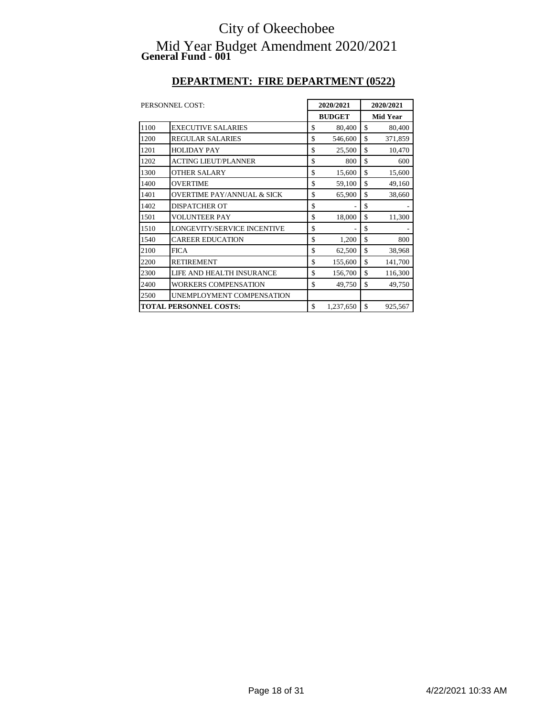|      | PERSONNEL COST:                       | 2020/2021 |               | 2020/2021 |                 |  |  |
|------|---------------------------------------|-----------|---------------|-----------|-----------------|--|--|
|      |                                       |           | <b>BUDGET</b> |           | <b>Mid Year</b> |  |  |
| 1100 | <b>EXECUTIVE SALARIES</b>             | \$        | 80,400        | \$        | 80,400          |  |  |
| 1200 | <b>REGULAR SALARIES</b>               | \$        | 546,600       | \$        | 371,859         |  |  |
| 1201 | <b>HOLIDAY PAY</b>                    | \$        | 25,500        | \$        | 10,470          |  |  |
| 1202 | <b>ACTING LIEUT/PLANNER</b>           | \$        | 800           | \$        | 600             |  |  |
| 1300 | <b>OTHER SALARY</b>                   | \$        | 15,600        | \$        | 15,600          |  |  |
| 1400 | <b>OVERTIME</b>                       | \$        | 59,100        | \$        | 49,160          |  |  |
| 1401 | <b>OVERTIME PAY/ANNUAL &amp; SICK</b> | \$        | 65,900        | \$        | 38,660          |  |  |
| 1402 | <b>DISPATCHER OT</b>                  | \$        |               | \$        |                 |  |  |
| 1501 | <b>VOLUNTEER PAY</b>                  | \$        | 18,000        | \$        | 11,300          |  |  |
| 1510 | LONGEVITY/SERVICE INCENTIVE           | \$        | ä,            | \$        |                 |  |  |
| 1540 | <b>CAREER EDUCATION</b>               | \$        | 1,200         | \$        | 800             |  |  |
| 2100 | <b>FICA</b>                           | \$        | 62,500        | \$        | 38,968          |  |  |
| 2200 | <b>RETIREMENT</b>                     | \$        | 155,600       | \$        | 141,700         |  |  |
| 2300 | LIFE AND HEALTH INSURANCE             | \$        | 156,700       | \$        | 116,300         |  |  |
| 2400 | <b>WORKERS COMPENSATION</b>           | \$        | 49,750        | \$        | 49,750          |  |  |
| 2500 | UNEMPLOYMENT COMPENSATION             |           |               |           |                 |  |  |
|      | <b>TOTAL PERSONNEL COSTS:</b>         | \$        | 1,237,650     | \$        | 925,567         |  |  |

#### **DEPARTMENT: FIRE DEPARTMENT (0522)**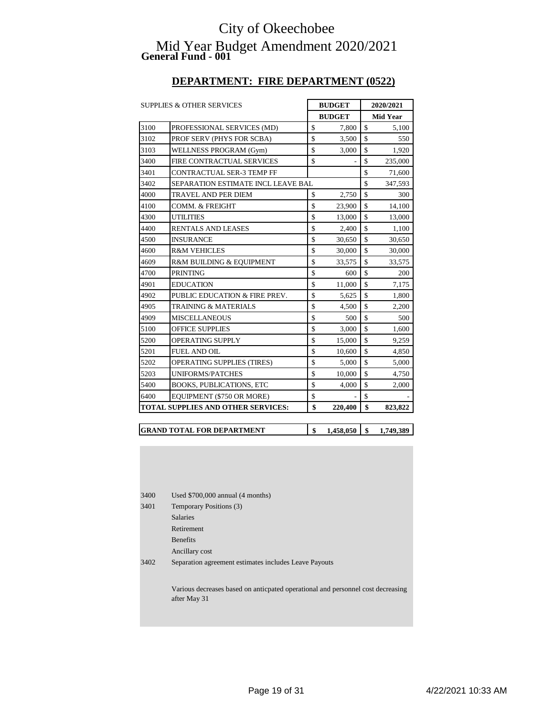#### **DEPARTMENT: FIRE DEPARTMENT (0522)**

| <b>SUPPLIES &amp; OTHER SERVICES</b> |                                           | <b>BUDGET</b> | 2020/2021          |                 |  |
|--------------------------------------|-------------------------------------------|---------------|--------------------|-----------------|--|
|                                      |                                           | <b>BUDGET</b> |                    | <b>Mid Year</b> |  |
| 3100                                 | PROFESSIONAL SERVICES (MD)                | \$<br>7,800   | \$                 | 5,100           |  |
| 3102                                 | PROF SERV (PHYS FOR SCBA)                 | \$<br>3,500   | \$                 | 550             |  |
| 3103                                 | WELLNESS PROGRAM (Gym)                    | \$<br>3,000   | \$                 | 1,920           |  |
| 3400                                 | <b>FIRE CONTRACTUAL SERVICES</b>          | \$            | \$                 | 235,000         |  |
| 3401                                 | <b>CONTRACTUAL SER-3 TEMP FF</b>          |               | \$                 | 71,600          |  |
| 3402                                 | SEPARATION ESTIMATE INCL LEAVE BAL        |               | \$                 | 347,593         |  |
| 4000                                 | <b>TRAVEL AND PER DIEM</b>                | \$<br>2,750   | \$                 | 300             |  |
| 4100                                 | <b>COMM. &amp; FREIGHT</b>                | \$<br>23,900  | \$                 | 14,100          |  |
| 4300                                 | <b>UTILITIES</b>                          | \$<br>13,000  | \$                 | 13,000          |  |
| 4400                                 | <b>RENTALS AND LEASES</b>                 | \$<br>2,400   | $\mathbf{\hat{S}}$ | 1,100           |  |
| 4500                                 | <b>INSURANCE</b>                          | \$<br>30,650  | \$                 | 30,650          |  |
| 4600                                 | <b>R&amp;M VEHICLES</b>                   | \$<br>30,000  | \$                 | 30,000          |  |
| 4609                                 | R&M BUILDING & EQUIPMENT                  | \$<br>33,575  | \$                 | 33,575          |  |
| 4700                                 | <b>PRINTING</b>                           | \$<br>600     | \$                 | 200             |  |
| 4901                                 | <b>EDUCATION</b>                          | \$<br>11,000  | \$                 | 7,175           |  |
| 4902                                 | PUBLIC EDUCATION & FIRE PREV.             | \$<br>5,625   | \$                 | 1,800           |  |
| 4905                                 | <b>TRAINING &amp; MATERIALS</b>           | \$<br>4,500   | \$                 | 2,200           |  |
| 4909                                 | <b>MISCELLANEOUS</b>                      | \$<br>500     | \$                 | 500             |  |
| 5100                                 | <b>OFFICE SUPPLIES</b>                    | \$<br>3.000   | \$                 | 1,600           |  |
| 5200                                 | <b>OPERATING SUPPLY</b>                   | \$<br>15,000  | \$                 | 9,259           |  |
| 5201                                 | <b>FUEL AND OIL</b>                       | \$<br>10,600  | \$                 | 4,850           |  |
| 5202                                 | <b>OPERATING SUPPLIES (TIRES)</b>         | \$<br>5,000   | \$                 | 5,000           |  |
| 5203                                 | <b>UNIFORMS/PATCHES</b>                   | \$<br>10,000  | \$                 | 4,750           |  |
| 5400                                 | <b>BOOKS, PUBLICATIONS, ETC</b>           | \$<br>4,000   | \$                 | 2,000           |  |
| 6400                                 | EQUIPMENT (\$750 OR MORE)                 | \$            | \$                 |                 |  |
|                                      | <b>TOTAL SUPPLIES AND OTHER SERVICES:</b> | \$<br>220,400 | \$                 | 823,822         |  |

| <b>IGRAND TOTAL FOR DEPARTMENT</b> |  | 1.458.050 |  | 1.749.389 |
|------------------------------------|--|-----------|--|-----------|
|------------------------------------|--|-----------|--|-----------|

- Used \$700,000 annual (4 months)
- Temporary Positions (3) Salaries Retirement

Benefits

Ancillary cost

Separation agreement estimates includes Leave Payouts

Various decreases based on anticpated operational and personnel cost decreasing after May 31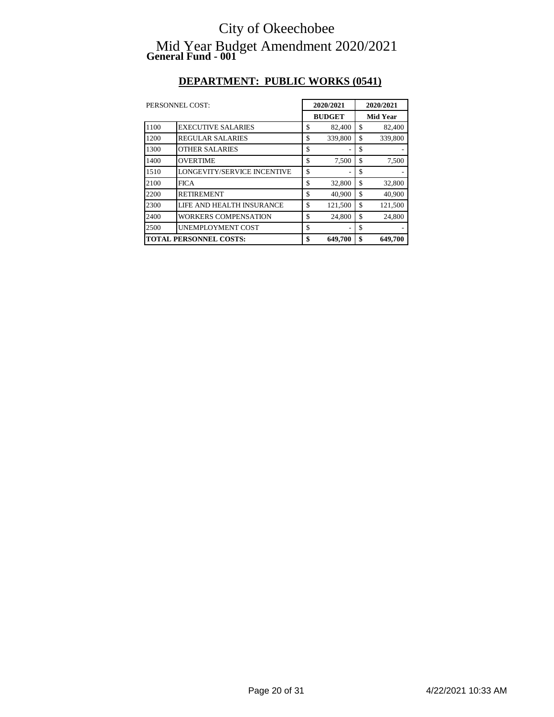| PERSONNEL COST:             |    |         | 2020/2021<br><b>Mid Year</b> |         |  |
|-----------------------------|----|---------|------------------------------|---------|--|
|                             |    |         |                              |         |  |
| <b>EXECUTIVE SALARIES</b>   | S  | 82,400  | S                            | 82,400  |  |
| <b>REGULAR SALARIES</b>     | \$ | 339,800 | \$                           | 339,800 |  |
| <b>OTHER SALARIES</b>       | \$ |         | S                            |         |  |
| <b>OVERTIME</b>             | \$ | 7,500   | \$                           | 7,500   |  |
| LONGEVITY/SERVICE INCENTIVE | \$ |         |                              |         |  |
| <b>FICA</b>                 | \$ | 32,800  | \$                           | 32,800  |  |
| <b>RETIREMENT</b>           | \$ | 40,900  | \$                           | 40.900  |  |
|                             |    |         | 2020/2021<br><b>BUDGET</b>   |         |  |

2300 LIFE AND HEALTH INSURANCE <br>2400 WORKERS COMPENSATION \$24,800 \$24,800

**TOTAL PERSONNEL COSTS: \$ 649,700 \$ 649,700**

2400 WORKERS COMPENSATION \\$24,800 \\$ 2500 UNEMPLOYMENT COST \$

#### **DEPARTMENT: PUBLIC WORKS (0541)**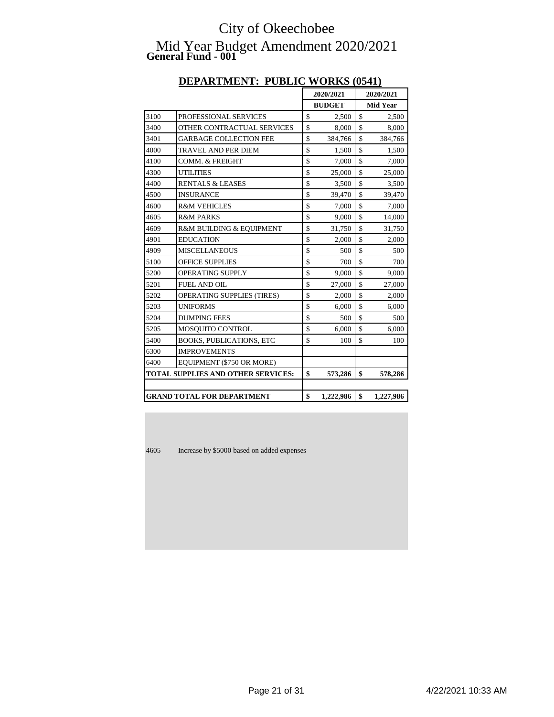|      | DEPARTMENT: PUBLIC WORKS (0541)           |                    |               |                         |                 |  |  |  |
|------|-------------------------------------------|--------------------|---------------|-------------------------|-----------------|--|--|--|
|      |                                           |                    | 2020/2021     |                         | 2020/2021       |  |  |  |
|      |                                           |                    | <b>BUDGET</b> |                         | <b>Mid Year</b> |  |  |  |
| 3100 | PROFESSIONAL SERVICES                     | \$                 | 2,500         | \$                      | 2,500           |  |  |  |
| 3400 | OTHER CONTRACTUAL SERVICES                | \$                 | 8,000         | \$                      | 8,000           |  |  |  |
| 3401 | <b>GARBAGE COLLECTION FEE</b>             | \$                 | 384,766       | \$                      | 384,766         |  |  |  |
| 4000 | TRAVEL AND PER DIEM                       | \$                 | 1,500         | $\mathbf{\hat{S}}$      | 1,500           |  |  |  |
| 4100 | COMM. & FREIGHT                           | \$                 | 7,000         | \$                      | 7,000           |  |  |  |
| 4300 | <b>UTILITIES</b>                          | \$                 | 25,000        | $\overline{\mathbf{s}}$ | 25,000          |  |  |  |
| 4400 | <b>RENTALS &amp; LEASES</b>               | \$                 | 3,500         | \$                      | 3,500           |  |  |  |
| 4500 | <b>INSURANCE</b>                          | \$                 | 39,470        | \$                      | 39,470          |  |  |  |
| 4600 | <b>R&amp;M VEHICLES</b>                   | \$                 | 7,000         | $\mathbf{\hat{S}}$      | 7,000           |  |  |  |
| 4605 | <b>R&amp;M PARKS</b>                      | \$                 | 9,000         | $\mathbf{\hat{S}}$      | 14,000          |  |  |  |
| 4609 | R&M BUILDING & EOUIPMENT                  | \$                 | 31,750        | $\mathbf{\hat{S}}$      | 31,750          |  |  |  |
| 4901 | <b>EDUCATION</b>                          | \$                 | 2,000         | \$                      | 2,000           |  |  |  |
| 4909 | <b>MISCELLANEOUS</b>                      | \$                 | 500           | \$                      | 500             |  |  |  |
| 5100 | <b>OFFICE SUPPLIES</b>                    | \$                 | 700           | $\mathbf{\hat{S}}$      | 700             |  |  |  |
| 5200 | <b>OPERATING SUPPLY</b>                   | \$                 | 9,000         | $\mathbf{\hat{S}}$      | 9,000           |  |  |  |
| 5201 | <b>FUEL AND OIL</b>                       | \$                 | 27,000        | \$                      | 27,000          |  |  |  |
| 5202 | <b>OPERATING SUPPLIES (TIRES)</b>         | \$                 | 2,000         | $\mathbf{\hat{S}}$      | 2,000           |  |  |  |
| 5203 | <b>UNIFORMS</b>                           | \$                 | 6,000         | $\mathbf{\hat{S}}$      | 6,000           |  |  |  |
| 5204 | <b>DUMPING FEES</b>                       | \$                 | 500           | $\overline{\mathbf{s}}$ | 500             |  |  |  |
| 5205 | MOSOUITO CONTROL                          | $\mathbf{\hat{S}}$ | 6,000         | $\mathbf{\hat{S}}$      | 6,000           |  |  |  |
| 5400 | <b>BOOKS, PUBLICATIONS, ETC</b>           | \$                 | 100           | $\mathbf{\hat{S}}$      | 100             |  |  |  |
| 6300 | <b>IMPROVEMENTS</b>                       |                    |               |                         |                 |  |  |  |
| 6400 | EQUIPMENT (\$750 OR MORE)                 |                    |               |                         |                 |  |  |  |
|      | <b>TOTAL SUPPLIES AND OTHER SERVICES:</b> | \$                 | 573,286       | \$                      | 578,286         |  |  |  |
|      |                                           |                    |               |                         |                 |  |  |  |
|      | <b>GRAND TOTAL FOR DEPARTMENT</b>         | \$                 | 1,222,986     | \$                      | 1,227,986       |  |  |  |
|      |                                           |                    |               |                         |                 |  |  |  |

### **DEPARTMENT: PUBLIC WORKS (0541)**

Increase by \$5000 based on added expenses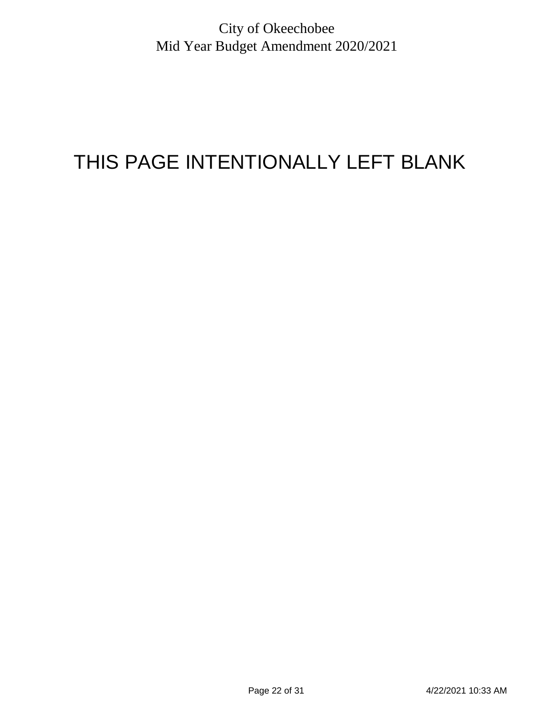# THIS PAGE INTENTIONALLY LEFT BLANK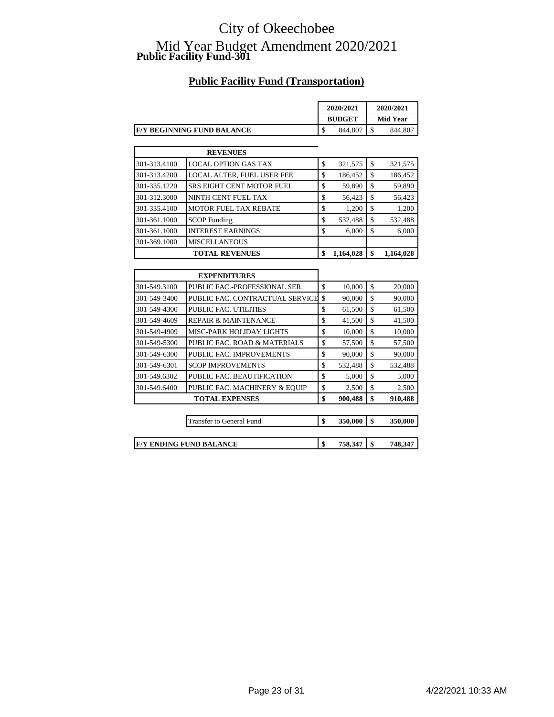# City of Okeechobee Mid Year Budget Amendment 2020/2021 **Public Facility Fund-301**

#### **Public Facility Fund (Transportation)**

|                                    | 2020/2021 |               | 2020/2021 |                 |
|------------------------------------|-----------|---------------|-----------|-----------------|
|                                    |           | <b>BUDGET</b> |           | <b>Mid Year</b> |
| <b>IF/Y BEGINNING FUND BALANCE</b> |           | 844.807       | ۰D        | 844.807         |

|              | <b>REVENUES</b>              |                 |                 |
|--------------|------------------------------|-----------------|-----------------|
| 301-313.4100 | <b>LOCAL OPTION GAS TAX</b>  | \$<br>321,575   | \$<br>321,575   |
| 301-313.4200 | LOCAL ALTER, FUEL USER FEE   | \$<br>186,452   | \$<br>186,452   |
| 301-335.1220 | SRS EIGHT CENT MOTOR FUEL    | \$<br>59,890    | \$<br>59,890    |
| 301-312.3000 | NINTH CENT FUEL TAX          | \$<br>56,423    | \$<br>56,423    |
| 301-335.4100 | <b>MOTOR FUEL TAX REBATE</b> | \$<br>1,200     | \$<br>1,200     |
| 301-361.1000 | <b>SCOP</b> Funding          | \$<br>532,488   | \$<br>532,488   |
| 301-361.1000 | <b>INTEREST EARNINGS</b>     | \$<br>6,000     | \$<br>6,000     |
| 301-369.1000 | <b>MISCELLANEOUS</b>         |                 |                 |
|              | <b>TOTAL REVENUES</b>        | \$<br>1,164,028 | \$<br>1.164.028 |

|              | <b>EXPENDITURES</b>                     |               |               |
|--------------|-----------------------------------------|---------------|---------------|
| 301-549.3100 | PUBLIC FAC.-PROFESSIONAL SER.           | \$<br>10,000  | \$<br>20,000  |
| 301-549-3400 | PUBLIC FAC. CONTRACTUAL SERVICE         | \$<br>90,000  | \$<br>90,000  |
| 301-549-4300 | <b>PUBLIC FAC. UTILITIES</b>            | \$<br>61,500  | \$<br>61,500  |
| 301-549-4609 | <b>REPAIR &amp; MAINTENANCE</b>         | \$<br>41,500  | \$<br>41,500  |
| 301-549-4909 | <b>MISC-PARK HOLIDAY LIGHTS</b>         | \$<br>10,000  | \$<br>10,000  |
| 301-549-5300 | <b>PUBLIC FAC. ROAD &amp; MATERIALS</b> | \$<br>57,500  | \$<br>57,500  |
| 301-549-6300 | PUBLIC FAC. IMPROVEMENTS                | \$<br>90.000  | \$<br>90,000  |
| 301-549-6301 | <b>SCOP IMPROVEMENTS</b>                | \$<br>532,488 | \$<br>532,488 |
| 301-549.6302 | PUBLIC FAC. BEAUTIFICATION              | \$<br>5,000   | \$<br>5,000   |
| 301-549.6400 | PUBLIC FAC. MACHINERY & EQUIP           | \$<br>2,500   | \$<br>2,500   |
|              | <b>TOTAL EXPENSES</b>                   | \$<br>900,488 | \$<br>910,488 |
|              |                                         |               |               |
|              | Transfer to General Fund                | \$<br>350,000 | \$<br>350,000 |

| F/<br><b>ENDING FUND BALANCE</b><br>ጣ<br>۰п | .58.347 | -\$ | 347<br>$\overline{\phantom{a}}$ |
|---------------------------------------------|---------|-----|---------------------------------|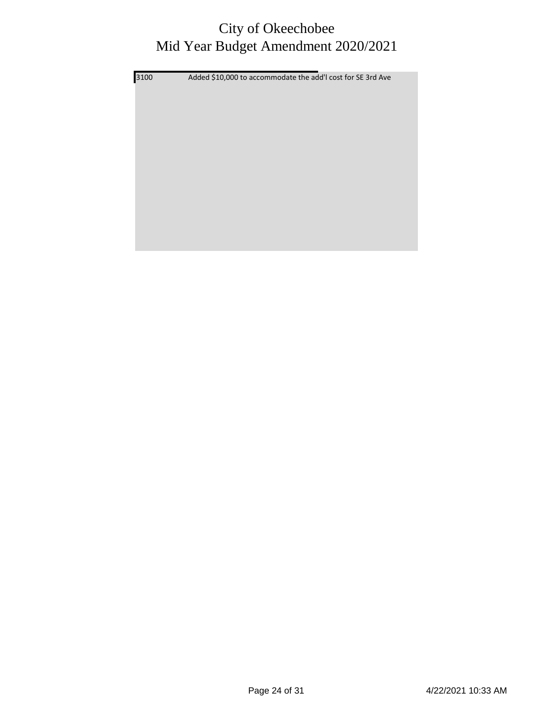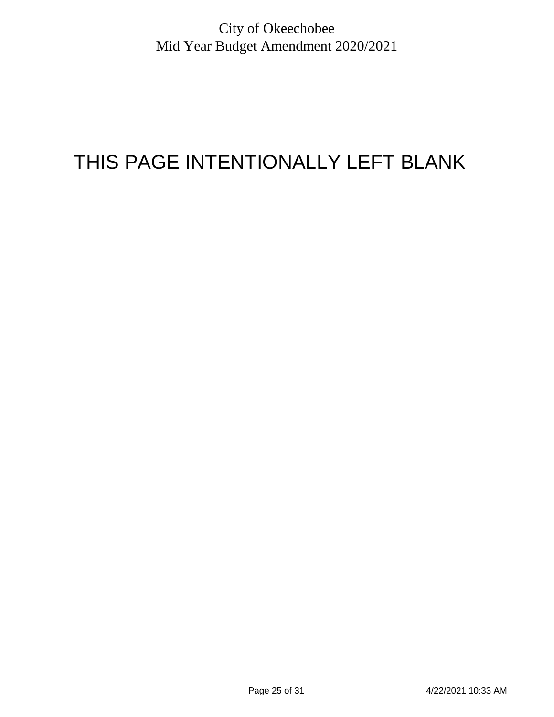# THIS PAGE INTENTIONALLY LEFT BLANK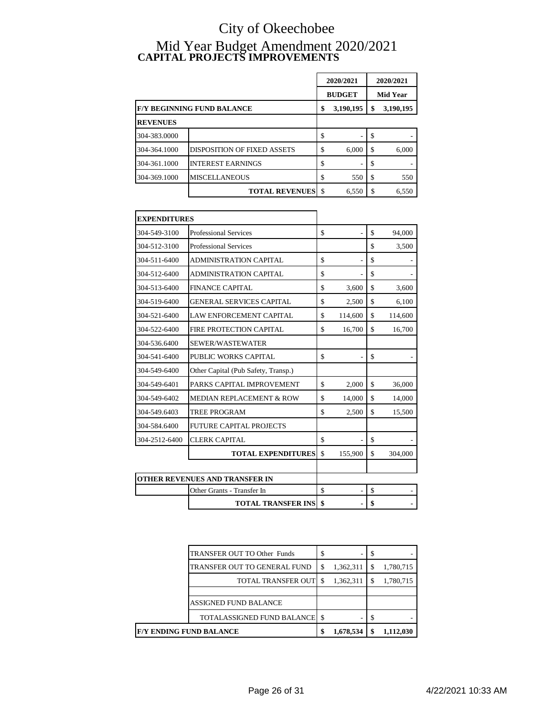# City of Okeechobee Mid Year Budget Amendment 2020/2021 **CAPITAL PROJECTS IMPROVEMENTS**

|                 |                                    | 2020/2021 |               | 2020/2021       |           |  |
|-----------------|------------------------------------|-----------|---------------|-----------------|-----------|--|
|                 |                                    |           | <b>BUDGET</b> | <b>Mid Year</b> |           |  |
|                 | <b>F/Y BEGINNING FUND BALANCE</b>  | \$        | 3,190,195     | \$              | 3,190,195 |  |
| <b>REVENUES</b> |                                    |           |               |                 |           |  |
| 304-383.0000    |                                    | S         |               | ۰D.             |           |  |
| 304-364.1000    | <b>DISPOSITION OF FIXED ASSETS</b> | \$        | 6,000         | S               | 6,000     |  |
| 304-361.1000    | <b>INTEREST EARNINGS</b>           | \$        |               | \$              |           |  |
| 304-369.1000    | <b>MISCELLANEOUS</b>               | \$        | 550           | \$              | 550       |  |
|                 | <b>TOTAL REVENUES</b> \$           |           | 6,550         | \$              | 6,550     |  |

| <b>EXPENDITURES</b> |                                     |                                |               |
|---------------------|-------------------------------------|--------------------------------|---------------|
| 304-549-3100        | <b>Professional Services</b>        | \$<br>÷,                       | \$<br>94,000  |
| 304-512-3100        | <b>Professional Services</b>        |                                | \$<br>3,500   |
| 304-511-6400        | <b>ADMINISTRATION CAPITAL</b>       | \$<br>$\overline{a}$           | \$            |
| 304-512-6400        | <b>ADMINISTRATION CAPITAL</b>       | \$                             | \$            |
| 304-513-6400        | <b>FINANCE CAPITAL</b>              | \$<br>3,600                    | \$<br>3,600   |
| 304-519-6400        | <b>GENERAL SERVICES CAPITAL</b>     | \$<br>2,500                    | \$<br>6,100   |
| 304-521-6400        | <b>LAW ENFORCEMENT CAPITAL</b>      | \$<br>114,600                  | \$<br>114,600 |
| 304-522-6400        | FIRE PROTECTION CAPITAL             | \$<br>16,700                   | \$<br>16,700  |
| 304-536.6400        | SEWER/WASTEWATER                    |                                |               |
| 304-541-6400        | PUBLIC WORKS CAPITAL                | \$                             | \$            |
| 304-549-6400        | Other Capital (Pub Safety, Transp.) |                                |               |
| 304-549-6401        | PARKS CAPITAL IMPROVEMENT           | \$<br>2,000                    | \$<br>36,000  |
| 304-549-6402        | <b>MEDIAN REPLACEMENT &amp; ROW</b> | \$<br>14,000                   | \$<br>14,000  |
| 304-549.6403        | <b>TREE PROGRAM</b>                 | \$<br>2,500                    | \$<br>15,500  |
| 304-584.6400        | <b>FUTURE CAPITAL PROJECTS</b>      |                                |               |
| 304-2512-6400       | <b>CLERK CAPITAL</b>                | \$<br>$\overline{a}$           | \$            |
|                     | <b>TOTAL EXPENDITURES</b>           | \$<br>155,900                  | \$<br>304,000 |
|                     |                                     |                                |               |
|                     | OTHER REVENUES AND TRANSFER IN      |                                |               |
|                     | Other Grants - Transfer In          | \$<br>$\overline{\phantom{a}}$ | \$            |
|                     | <b>TOTAL TRANSFER INS</b>           | \$                             | \$            |

|                         | TRANSFER OUT TO Other Funds  | \$ |           | S  |           |
|-------------------------|------------------------------|----|-----------|----|-----------|
|                         | TRANSFER OUT TO GENERAL FUND | S  | 1,362,311 |    | 1,780,715 |
|                         | TOTAL TRANSFER OUT           |    | 1,362,311 |    | 1,780,715 |
|                         |                              |    |           |    |           |
|                         | <b>ASSIGNED FUND BALANCE</b> |    |           |    |           |
|                         | TOTALASSIGNED FUND BALANCELS |    |           | \$ |           |
| F/Y ENDING FUND BALANCE |                              | \$ | 1,678,534 |    | 1,112,030 |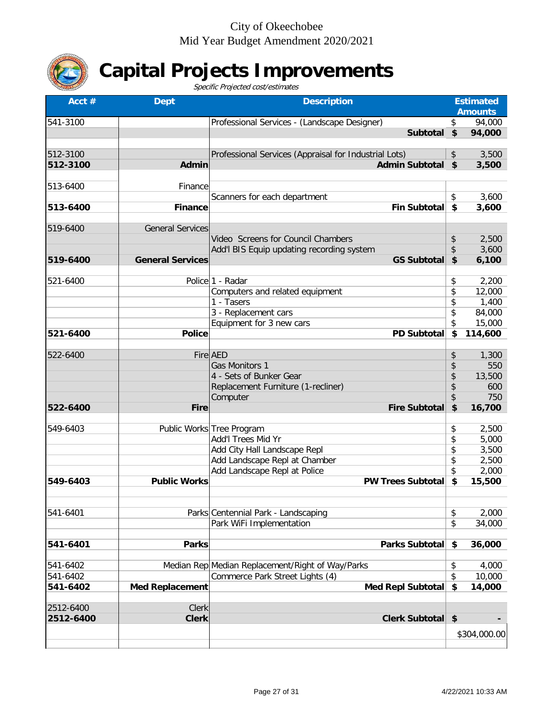

# **Capital Projects Improvements**

Specific Projected cost/estimates

| Acct $#$             | <b>Dept</b>             | <b>Description</b>                                    |          | <b>Estimated</b><br><b>Amounts</b> |
|----------------------|-------------------------|-------------------------------------------------------|----------|------------------------------------|
| 541-3100             |                         | Professional Services - (Landscape Designer)          | \$       | 94,000                             |
|                      |                         | Subtotal                                              | \$       | 94,000                             |
| 512-3100             |                         | Professional Services (Appraisal for Industrial Lots) | \$       | 3,500                              |
| 512-3100             | Admin                   | <b>Admin Subtotal</b>                                 | \$       | 3,500                              |
| 513-6400             | Finance                 |                                                       |          |                                    |
|                      |                         | Scanners for each department                          | \$       | 3,600                              |
| 513-6400             | <b>Finance</b>          | <b>Fin Subtotal</b>                                   | \$       | 3,600                              |
| 519-6400             | <b>General Services</b> |                                                       |          |                                    |
|                      |                         | Video Screens for Council Chambers                    | \$       | 2,500                              |
|                      |                         | Add'l BIS Equip updating recording system             | \$       | 3,600                              |
| 519-6400             | <b>General Services</b> | <b>GS Subtotal</b>                                    | \$       | 6,100                              |
|                      |                         |                                                       |          |                                    |
| 521-6400             |                         | Police 1 - Radar                                      | \$       | 2,200                              |
|                      |                         | Computers and related equipment                       | \$       | 12,000                             |
|                      |                         | 1 - Tasers                                            | \$       | 1,400                              |
|                      |                         | 3 - Replacement cars                                  | \$       | 84,000                             |
|                      |                         | Equipment for 3 new cars                              | \$       | 15,000                             |
| 521-6400             | <b>Police</b>           | <b>PD Subtotal</b>                                    | \$       | 114,600                            |
| 522-6400             |                         | <b>Fire AED</b>                                       | \$       | 1,300                              |
|                      |                         | <b>Gas Monitors 1</b>                                 | \$       | 550                                |
|                      |                         | 4 - Sets of Bunker Gear                               | \$       | 13,500                             |
|                      |                         | Replacement Furniture (1-recliner)                    | \$       | 600                                |
|                      |                         | Computer                                              | \$       | 750                                |
| 522-6400             | <b>Fire</b>             | <b>Fire Subtotal</b>                                  | \$       | 16,700                             |
| 549-6403             |                         | Public Works Tree Program                             | \$       | 2,500                              |
|                      |                         | Add'l Trees Mid Yr                                    | \$       | 5,000                              |
|                      |                         | Add City Hall Landscape Repl                          | \$       | 3,500                              |
|                      |                         | Add Landscape Repl at Chamber                         | \$       | 2,500                              |
|                      |                         | Add Landscape Repl at Police                          | \$       | 2,000                              |
| 549-6403             | <b>Public Works</b>     | <b>PW Trees Subtotal</b>                              | \$       | 15,500                             |
|                      |                         |                                                       |          |                                    |
| 541-6401             |                         | Parks Centennial Park - Landscaping                   | \$       | 2,000                              |
|                      |                         | Park WiFi Implementation                              | \$       | 34,000                             |
| 541-6401             | <b>Parks</b>            | Parks Subtotal                                        | \$       | 36,000                             |
|                      |                         |                                                       |          |                                    |
| 541-6402             |                         | Median Rep Median Replacement/Right of Way/Parks      | \$       | 4,000                              |
| 541-6402<br>541-6402 | <b>Med Replacement</b>  | Commerce Park Street Lights (4)<br>Med Repl Subtotal  | \$<br>\$ | 10,000<br>14,000                   |
|                      |                         |                                                       |          |                                    |
| 2512-6400            | Clerk                   |                                                       |          |                                    |
| 2512-6400            | <b>Clerk</b>            | Clerk Subtotal                                        | \$       |                                    |
|                      |                         |                                                       |          | \$304,000.00                       |
|                      |                         |                                                       |          |                                    |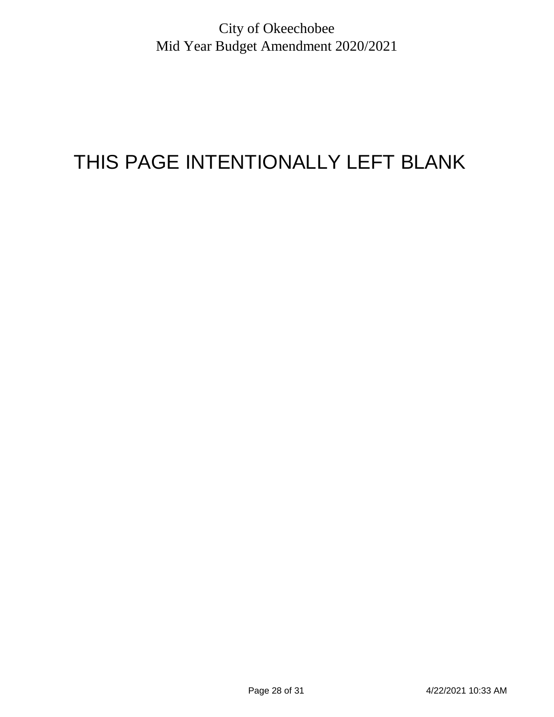# THIS PAGE INTENTIONALLY LEFT BLANK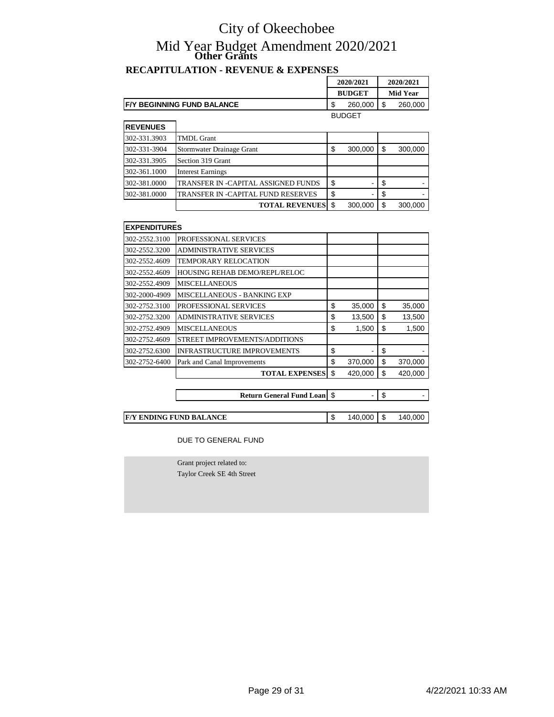### City of Okeechobee Mid Year Budget Amendment 2020/2021 **Other Grants**

#### **RECAPITULATION - REVENUE & EXPENSES**

|                                    | 2020/2021     |               | 2020/2021     |  |  |  |                 |
|------------------------------------|---------------|---------------|---------------|--|--|--|-----------------|
|                                    | <b>BUDGET</b> |               |               |  |  |  | <b>Mid Year</b> |
| <b>IF/Y BEGINNING FUND BALANCE</b> | ۰D            | 260,000       | \$<br>260,000 |  |  |  |                 |
| <b>IREVENHES</b>                   |               | <b>BUDGET</b> |               |  |  |  |                 |

| IREVENUES    |                                     |               |      |         |
|--------------|-------------------------------------|---------------|------|---------|
| 302-331.3903 | <b>TMDL Grant</b>                   |               |      |         |
| 302-331-3904 | Stormwater Drainage Grant           | \$<br>300,000 | - \$ | 300,000 |
| 302-331.3905 | Section 319 Grant                   |               |      |         |
| 302-361.1000 | <b>Interest Earnings</b>            |               |      |         |
| 302-381.0000 | TRANSFER IN -CAPITAL ASSIGNED FUNDS | \$            |      |         |
| 302-381.0000 | TRANSFER IN -CAPITAL FUND RESERVES  | \$            | S    |         |
|              | <b>TOTAL REVENUES</b> \$            | 300.000       |      | 300.000 |

| <b>EXPENDITURES</b> |                                      |               |               |
|---------------------|--------------------------------------|---------------|---------------|
| 302-2552.3100       | PROFESSIONAL SERVICES                |               |               |
| 302-2552.3200       | <b>ADMINISTRATIVE SERVICES</b>       |               |               |
| 302-2552.4609       | <b>TEMPORARY RELOCATION</b>          |               |               |
| 302-2552.4609       | <b>HOUSING REHAB DEMO/REPL/RELOC</b> |               |               |
| 302-2552.4909       | <b>MISCELLANEOUS</b>                 |               |               |
| 302-2000-4909       | MISCELLANEOUS - BANKING EXP          |               |               |
| 302-2752.3100       | PROFESSIONAL SERVICES                | \$<br>35,000  | \$<br>35,000  |
| 302-2752.3200       | <b>ADMINISTRATIVE SERVICES</b>       | \$<br>13,500  | \$<br>13,500  |
| 302-2752.4909       | <b>MISCELLANEOUS</b>                 | \$<br>1,500   | \$<br>1,500   |
| 302-2752.4609       | STREET IMPROVEMENTS/ADDITIONS        |               |               |
| 302-2752.6300       | <b>INFRASTRUCTURE IMPROVEMENTS</b>   | \$            | \$            |
| 302-2752-6400       | Park and Canal Improvements          | \$<br>370,000 | \$<br>370,000 |
|                     | <b>TOTAL EXPENSES</b>                | \$<br>420,000 | \$<br>420,000 |
|                     |                                      |               |               |

| Return General Fund Loan |  |
|--------------------------|--|
|                          |  |

**F/Y ENDING FUND BALANCE** <br> **S** 140,000 \$ 140,000

DUE TO GENERAL FUND

Grant project related to: Taylor Creek SE 4th Street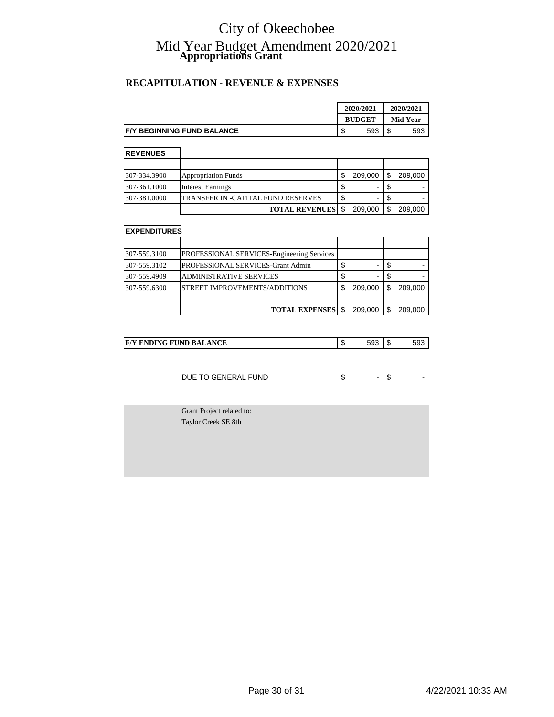### City of Okeechobee Mid Year Budget Amendment 2020/2021 **Appropriations Grant**

#### **RECAPITULATION - REVENUE & EXPENSES**

|                                    | 2020/2021     |     |                 | 2020/2021 |
|------------------------------------|---------------|-----|-----------------|-----------|
|                                    | <b>BUDGET</b> |     | <b>Mid Year</b> |           |
| <b>IF/Y BEGINNING FUND BALANCE</b> | w             | 593 | мD              | 593       |

| <b>REVENUES</b> |                                    |         |         |
|-----------------|------------------------------------|---------|---------|
|                 |                                    |         |         |
| 307-334.3900    | <b>Appropriation Funds</b>         | 209,000 | 209,000 |
| 307-361.1000    | <b>Interest Earnings</b>           | ۰       |         |
| 307-381.0000    | TRANSFER IN -CAPITAL FUND RESERVES |         |         |
|                 | <b>TOTAL REVENUES</b> \$           | 209,000 | 209,000 |

| <b>EXPENDITURES</b> |                                            |   |         |         |
|---------------------|--------------------------------------------|---|---------|---------|
|                     |                                            |   |         |         |
| 307-559.3100        | PROFESSIONAL SERVICES-Engineering Services |   |         |         |
| 307-559.3102        | PROFESSIONAL SERVICES-Grant Admin          | S |         |         |
| 307-559.4909        | <b>ADMINISTRATIVE SERVICES</b>             | S | -       |         |
| 307-559.6300        | STREET IMPROVEMENTS/ADDITIONS              | S | 209.000 | 209.000 |
|                     |                                            |   |         |         |
|                     | <b>TOTAL EXPENSES</b>                      |   | 209,000 | 209,000 |

|  | <b>BALANCE</b><br>F/<br>NDINC.<br><b>FIND RAL</b><br>$\cdot$ | c<br>۰D | - - - | - 40 | 595 |
|--|--------------------------------------------------------------|---------|-------|------|-----|
|--|--------------------------------------------------------------|---------|-------|------|-----|

DUE TO GENERAL FUND \$ - \$

Grant Project related to: Taylor Creek SE 8th